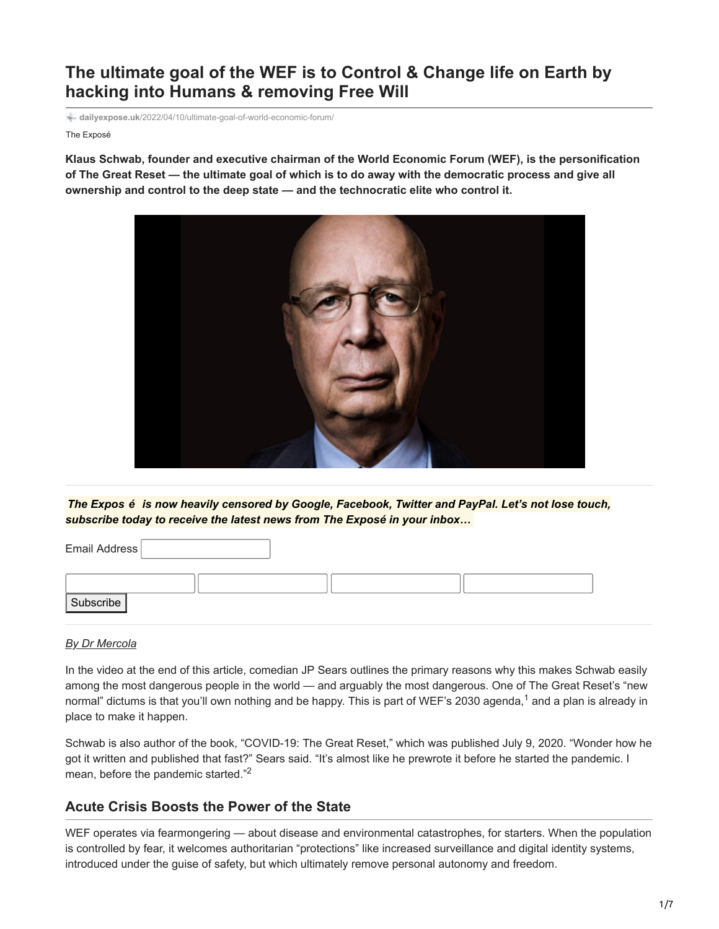# **The ultimate goal of the WEF is to Control & Change life on Earth by hacking into Humans & removing Free Will**

**dailyexpose.uk**[/2022/04/10/ultimate-goal-of-world-economic-forum/](https://dailyexpose.uk/2022/04/10/ultimate-goal-of-world-economic-forum/)

The Exposé

**Klaus Schwab, founder and executive chairman of the World Economic Forum (WEF), is the personification of The Great Reset — the ultimate goal of which is to do away with the democratic process and give all ownership and control to the deep state — and the technocratic elite who control it.**



*The Expos é is now heavily censored by Google, Facebook, Twitter and PayPal. Let's not lose touch, subscribe today to receive the latest news from The Exposé in your inbox…*

| Subscribe |  |  |
|-----------|--|--|
|           |  |  |

#### *[By Dr Mercola](http://mercola.com/)*

Email Address

In the video at the end of this article, comedian JP Sears outlines the primary reasons why this makes Schwab easily among the most dangerous people in the world — and arguably the most dangerous. One of The Great Reset's "new normal" dictums is that you'll own nothing and be happy. This is part of WEF's 2030 agenda,<sup>1</sup> and a plan is already in place to make it happen.

Schwab is also author of the book, "COVID-19: The Great Reset," which was published July 9, 2020. "Wonder how he got it written and published that fast?" Sears said. "It's almost like he prewrote it before he started the pandemic. I mean, before the pandemic started."<sup>2</sup>

#### **Acute Crisis Boosts the Power of the State**

WEF operates via fearmongering — about disease and environmental catastrophes, for starters. When the population is controlled by fear, it welcomes authoritarian "protections" like increased surveillance and digital identity systems, introduced under the guise of safety, but which ultimately remove personal autonomy and freedom.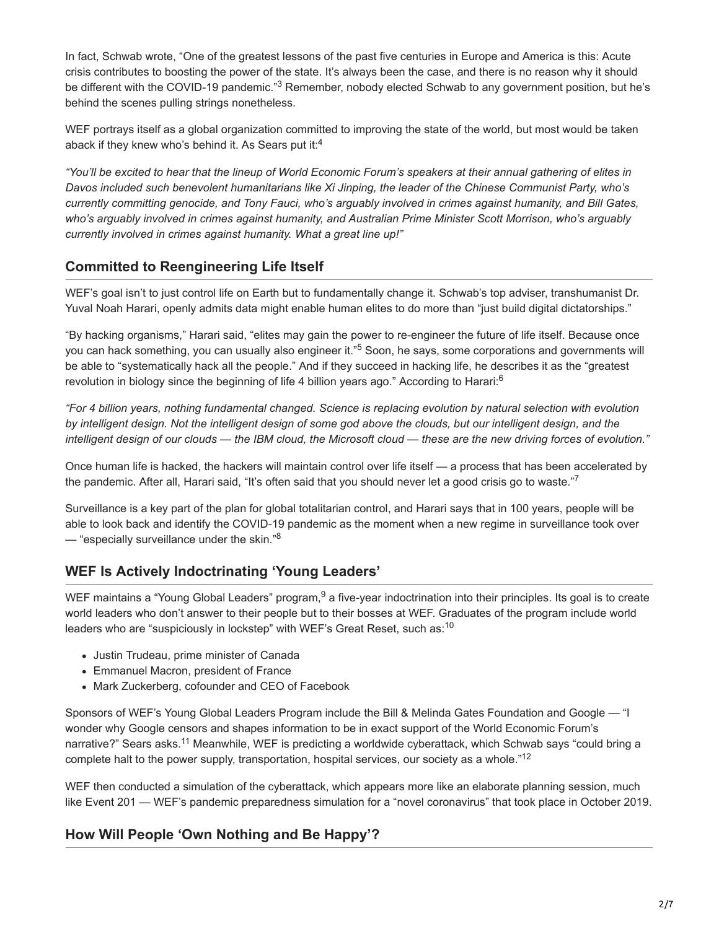In fact, Schwab wrote, "One of the greatest lessons of the past five centuries in Europe and America is this: Acute crisis contributes to boosting the power of the state. It's always been the case, and there is no reason why it should be different with the COVID-19 pandemic."<sup>3</sup> Remember, nobody elected Schwab to any government position, but he's behind the scenes pulling strings nonetheless.

WEF portrays itself as a global organization committed to improving the state of the world, but most would be taken aback if they knew who's behind it. As Sears put it: $4$ 

*"You'll be excited to hear that the lineup of World Economic Forum's speakers at their annual gathering of elites in Davos included such benevolent humanitarians like Xi Jinping, the leader of the Chinese Communist Party, who's currently committing genocide, and Tony Fauci, who's arguably involved in crimes against humanity, and Bill Gates, who's arguably involved in crimes against humanity, and Australian Prime Minister Scott Morrison, who's arguably currently involved in crimes against humanity. What a great line up!"*

### **Committed to Reengineering Life Itself**

WEF's goal isn't to just control life on Earth but to fundamentally change it. Schwab's top adviser, transhumanist Dr. Yuval Noah Harari, openly admits data might enable human elites to do more than "just build digital dictatorships."

"By hacking organisms," Harari said, "elites may gain the power to re-engineer the future of life itself. Because once you can hack something, you can usually also engineer it."<sup>5</sup> Soon, he says, some corporations and governments will be able to "systematically hack all the people." And if they succeed in hacking life, he describes it as the "greatest revolution in biology since the beginning of life 4 billion years ago." According to Harari:<sup>6</sup>

*"For 4 billion years, nothing fundamental changed. Science is replacing evolution by natural selection with evolution by intelligent design. Not the intelligent design of some god above the clouds, but our intelligent design, and the intelligent design of our clouds — the IBM cloud, the Microsoft cloud — these are the new driving forces of evolution."*

Once human life is hacked, the hackers will maintain control over life itself — a process that has been accelerated by the pandemic. After all, Harari said, "It's often said that you should never let a good crisis go to waste."<sup>7</sup>

Surveillance is a key part of the plan for global totalitarian control, and Harari says that in 100 years, people will be able to look back and identify the COVID-19 pandemic as the moment when a new regime in surveillance took over  $-$  "especially surveillance under the skin." $8$ 

## **WEF Is Actively Indoctrinating 'Young Leaders'**

WEF maintains a "Young Global Leaders" program,  $9$  a five-year indoctrination into their principles. Its goal is to create world leaders who don't answer to their people but to their bosses at WEF. Graduates of the program include world leaders who are "suspiciously in lockstep" with WEF's Great Reset, such as:<sup>10</sup>

- Justin Trudeau, prime minister of Canada
- Emmanuel Macron, president of France
- Mark Zuckerberg, cofounder and CEO of Facebook

Sponsors of WEF's Young Global Leaders Program include the Bill & Melinda Gates Foundation and Google — "I wonder why Google censors and shapes information to be in exact support of the World Economic Forum's narrative?" Sears asks.<sup>11</sup> Meanwhile, WEF is predicting a worldwide cyberattack, which Schwab says "could bring a complete halt to the power supply, transportation, hospital services, our society as a whole."<sup>12</sup>

WEF then conducted a simulation of the cyberattack, which appears more like an elaborate planning session, much like Event 201 — WEF's pandemic preparedness simulation for a "novel coronavirus" that took place in October 2019.

### **How Will People 'Own Nothing and Be Happy'?**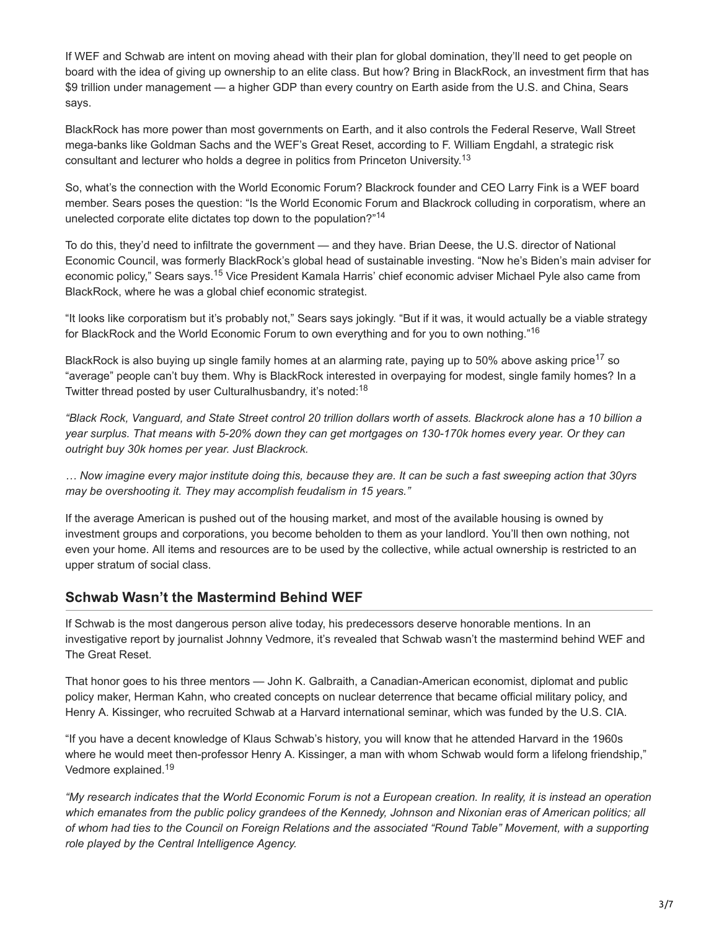If WEF and Schwab are intent on moving ahead with their plan for global domination, they'll need to get people on board with the idea of giving up ownership to an elite class. But how? Bring in BlackRock, an investment firm that has \$9 trillion under management — a higher GDP than every country on Earth aside from the U.S. and China, Sears says.

BlackRock has more power than most governments on Earth, and it also controls the Federal Reserve, Wall Street mega-banks like Goldman Sachs and the WEF's Great Reset, according to F. William Engdahl, a strategic risk consultant and lecturer who holds a degree in politics from Princeton University.<sup>13</sup>

So, what's the connection with the World Economic Forum? Blackrock founder and CEO Larry Fink is a WEF board member. Sears poses the question: "Is the World Economic Forum and Blackrock colluding in corporatism, where an unelected corporate elite dictates top down to the population?"<sup>14</sup>

To do this, they'd need to infiltrate the government — and they have. Brian Deese, the U.S. director of National Economic Council, was formerly BlackRock's global head of sustainable investing. "Now he's Biden's main adviser for economic policy," Sears says.<sup>15</sup> Vice President Kamala Harris' chief economic adviser Michael Pyle also came from BlackRock, where he was a global chief economic strategist.

"It looks like corporatism but it's probably not," Sears says jokingly. "But if it was, it would actually be a viable strategy for BlackRock and the World Economic Forum to own everything and for you to own nothing."<sup>16</sup>

BlackRock is also buying up single family homes at an alarming rate, paying up to 50% above asking price<sup>17</sup> so "average" people can't buy them. Why is BlackRock interested in overpaying for modest, single family homes? In a Twitter thread posted by user Culturalhusbandry, it's noted:<sup>18</sup>

*"Black Rock, Vanguard, and State Street control 20 trillion dollars worth of assets. Blackrock alone has a 10 billion a year surplus. That means with 5-20% down they can get mortgages on 130-170k homes every year. Or they can outright buy 30k homes per year. Just Blackrock.*

*… Now imagine every major institute doing this, because they are. It can be such a fast sweeping action that 30yrs may be overshooting it. They may accomplish feudalism in 15 years."*

If the average American is pushed out of the housing market, and most of the available housing is owned by investment groups and corporations, you become beholden to them as your landlord. You'll then own nothing, not even your home. All items and resources are to be used by the collective, while actual ownership is restricted to an upper stratum of social class.

#### **Schwab Wasn't the Mastermind Behind WEF**

If Schwab is the most dangerous person alive today, his predecessors deserve honorable mentions. In an investigative report by journalist Johnny Vedmore, it's revealed that Schwab wasn't the mastermind behind WEF and The Great Reset.

That honor goes to his three mentors — John K. Galbraith, a Canadian-American economist, diplomat and public policy maker, Herman Kahn, who created concepts on nuclear deterrence that became official military policy, and Henry A. Kissinger, who recruited Schwab at a Harvard international seminar, which was funded by the U.S. CIA.

"If you have a decent knowledge of Klaus Schwab's history, you will know that he attended Harvard in the 1960s where he would meet then-professor Henry A. Kissinger, a man with whom Schwab would form a lifelong friendship," Vedmore explained.<sup>19</sup>

*"My research indicates that the World Economic Forum is not a European creation. In reality, it is instead an operation which emanates from the public policy grandees of the Kennedy, Johnson and Nixonian eras of American politics; all of whom had ties to the Council on Foreign Relations and the associated "Round Table" Movement, with a supporting role played by the Central Intelligence Agency.*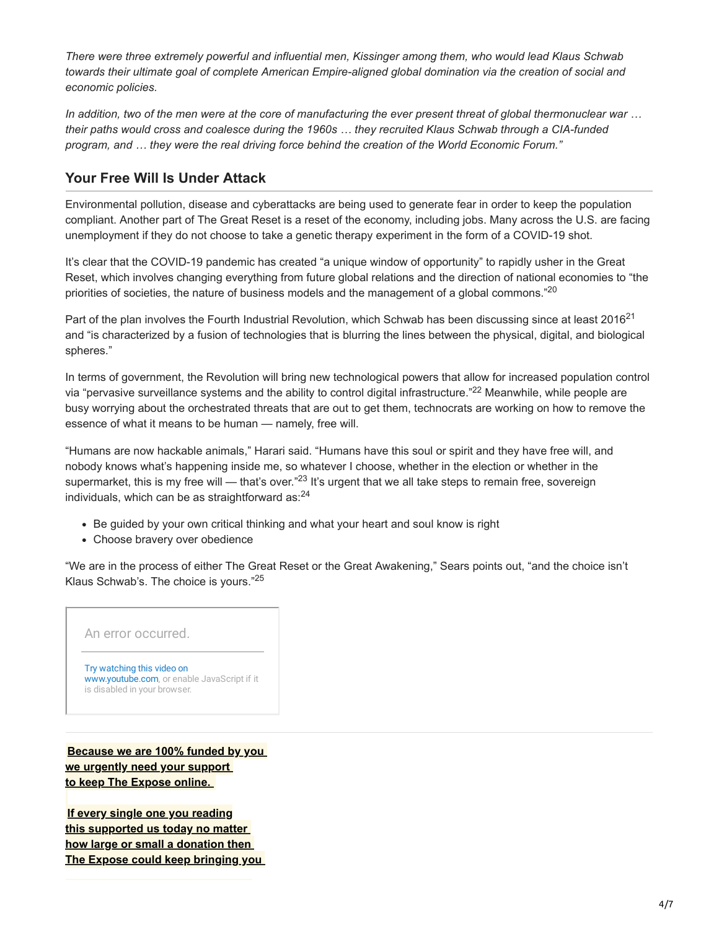*There were three extremely powerful and influential men, Kissinger among them, who would lead Klaus Schwab towards their ultimate goal of complete American Empire-aligned global domination via the creation of social and economic policies.*

*In addition, two of the men were at the core of manufacturing the ever present threat of global thermonuclear war … their paths would cross and coalesce during the 1960s … they recruited Klaus Schwab through a CIA-funded program, and … they were the real driving force behind the creation of the World Economic Forum."*

#### **Your Free Will Is Under Attack**

Environmental pollution, disease and cyberattacks are being used to generate fear in order to keep the population compliant. Another part of The Great Reset is a reset of the economy, including jobs. Many across the U.S. are facing unemployment if they do not choose to take a genetic therapy experiment in the form of a COVID-19 shot.

It's clear that the COVID-19 pandemic has created "a unique window of opportunity" to rapidly usher in the Great Reset, which involves changing everything from future global relations and the direction of national economies to "the priorities of societies, the nature of business models and the management of a global commons."<sup>20</sup>

Part of the plan involves the Fourth Industrial Revolution, which Schwab has been discussing since at least 2016<sup>21</sup> and "is characterized by a fusion of technologies that is blurring the lines between the physical, digital, and biological spheres."

In terms of government, the Revolution will bring new technological powers that allow for increased population control via "pervasive surveillance systems and the ability to control digital infrastructure."<sup>22</sup> Meanwhile, while people are busy worrying about the orchestrated threats that are out to get them, technocrats are working on how to remove the essence of what it means to be human — namely, free will.

"Humans are now hackable animals," Harari said. "Humans have this soul or spirit and they have free will, and nobody knows what's happening inside me, so whatever I choose, whether in the election or whether in the supermarket, this is my free will — that's over."<sup>23</sup> It's urgent that we all take steps to remain free, sovereign individuals, which can be as straightforward as: $^{24}$ 

- Be guided by your own critical thinking and what your heart and soul know is right
- Choose bravery over obedience

"We are in the process of either The Great Reset or the Great Awakening," Sears points out, "and the choice isn't Klaus Schwab's. The choice is yours."<sup>25</sup>

An error occurred.

Try watching this video on [www.youtube.com,](https://www.youtube.com/watch?v=6G3nWyoQ5CQ) or enable JavaScript if it is disabled in your browser.

**[Because we are 100% funded by you](https://dailyexpose.uk/2022/04/07/april-fundraising-campaign-expose/)  we urgently need your support to keep The Expose online.** 

**If every single one you reading this supported us today no matter how large or small a donation then [The Expose could keep bringing you](https://dailyexpose.uk/2022/04/07/april-fundraising-campaign-expose/)**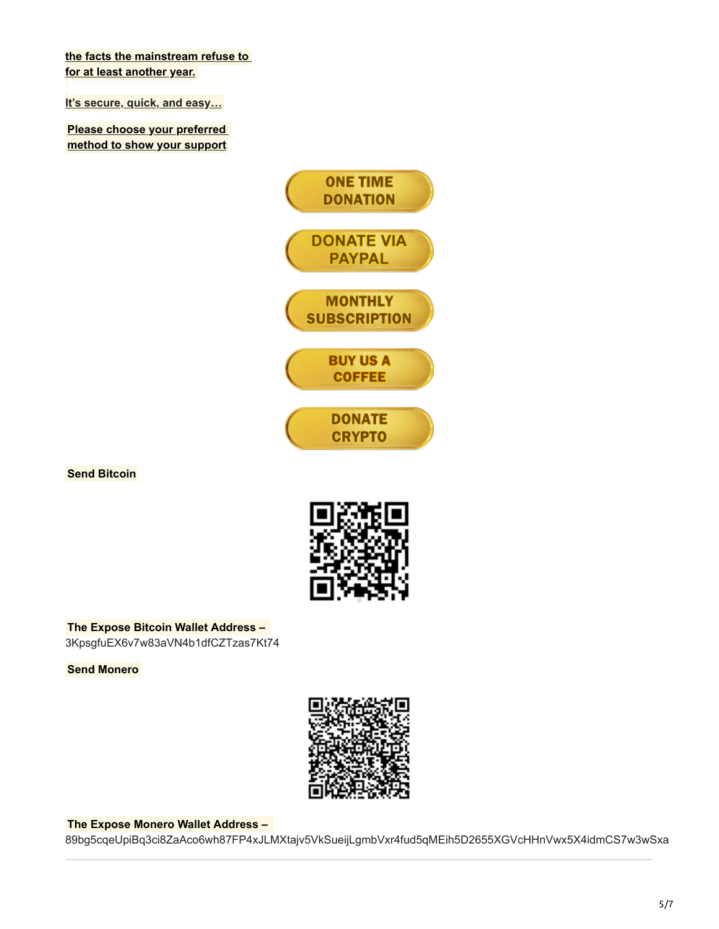**[the facts the mainstream refuse to](https://dailyexpose.uk/2022/04/07/april-fundraising-campaign-expose/)  for at least another year.**

**[It's secure, quick, and easy…](https://dailyexpose.uk/2022/04/07/april-fundraising-campaign-expose/)**

**[Please choose your preferred](https://dailyexpose.uk/2022/04/07/april-fundraising-campaign-expose/)  method to show your support**



**Send Bitcoin**



**The Expose Bitcoin Wallet Address –**  3KpsgfuEX6v7w83aVN4b1dfCZTzas7Kt74

**Send Monero**



#### **The Expose Monero Wallet Address –**

89bg5cqeUpiBq3ci8ZaAco6wh87FP4xJLMXtajv5VkSueijLgmbVxr4fud5qMEih5D2655XGVcHHnVwx5X4idmCS7w3wSxa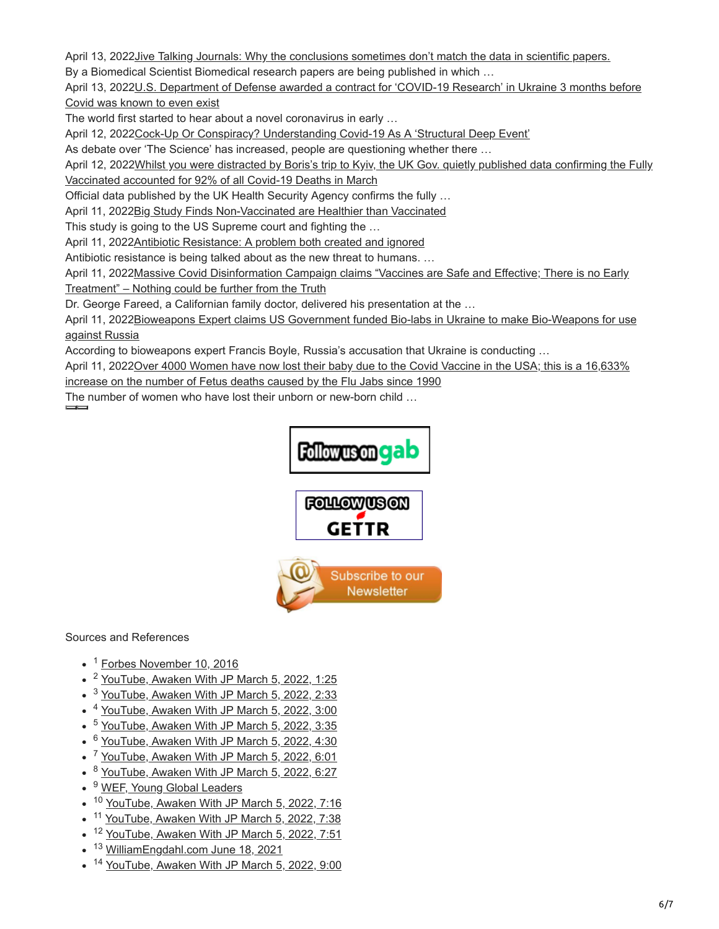April 13, 2022 [Jive Talking Journals: Why the conclusions sometimes don't match the data in scientific papers.](https://dailyexpose.uk/2022/04/13/jive-talking-journals-why-the-conclusions-sometimes-dont-match-the-data-in-scientific-papers/)

By a Biomedical Scientist Biomedical research papers are being published in which …

[April 13, 2022U.S. Department of Defense awarded a contract for 'COVID-19 Research' in Ukraine 3 months before](https://dailyexpose.uk/2022/04/13/us-dod-contract-covid-research-ukraine-nov-2019/) Covid was known to even exist

The world first started to hear about a novel coronavirus in early …

April 12, 2022[Cock-Up Or Conspiracy? Understanding Covid-19 As A 'Structural Deep Event'](https://dailyexpose.uk/2022/04/12/understanding-covid-as-a-structural-deep-event/)

As debate over 'The Science' has increased, people are questioning whether there …

April 12, 2022 Whilst you were distracted by Boris's trip to Kyiv, the UK Gov. quietly published data confirming the Fully Vaccinated accounted for 92% of all Covid-19 Deaths in March

Official data published by the UK Health Security Agency confirms the fully …

April 11, 202[2Big Study Finds Non-Vaccinated are Healthier than Vaccinated](https://dailyexpose.uk/2022/04/11/study-finds-non-vaccinated-are-healthier-than-vaccinated/)

This study is going to the US Supreme court and fighting the …

April 11, 202[2Antibiotic Resistance: A problem both created and ignored](https://dailyexpose.uk/2022/04/11/antibiotic-resistance-a-problem-ignored/)

Antibiotic resistance is being talked about as the new threat to humans. …

April 11, 2022 Massive Covid Disinformation Campaign claims "Vaccines are Safe and Effective; There is no Early

Treatment" – Nothing could be further from the Truth

Dr. George Fareed, a Californian family doctor, delivered his presentation at the …

[April 11, 2022Bioweapons Expert claims US Government funded Bio-labs in Ukraine to make Bio-Weapons for use](https://dailyexpose.uk/2022/04/11/us-funded-bioweapons-ukraine-use-against-russia/) against Russia

According to bioweapons expert Francis Boyle, Russia's accusation that Ukraine is conducting …

[April 11, 2022Over 4000 Women have now lost their baby due to the Covid Vaccine in the USA; this is a 16,633%](https://dailyexpose.uk/2022/04/11/4000-women-lost-baby-covid-vaccine-usa/)

increase on the number of Fetus deaths caused by the Flu Jabs since 1990

The number of women who have lost their unborn or new-born child …



#### Sources and References

- <sup>1</sup> [Forbes November 10, 2016](https://www.forbes.com/sites/worldeconomicforum/2016/11/10/shopping-i-cant-really-remember-what-that-is-or-how-differently-well-live-in-2030/)
- <sup>2</sup> [YouTube, Awaken With JP March 5, 2022, 1:25](https://www.youtube.com/watch?v=6G3nWyoQ5CQ)
- <sup>3</sup> [YouTube, Awaken With JP March 5, 2022, 2:33](https://www.youtube.com/watch?v=6G3nWyoQ5CQ)
- <sup>4</sup> [YouTube, Awaken With JP March 5, 2022, 3:00](https://www.youtube.com/watch?v=6G3nWyoQ5CQ)
- <sup>5</sup> [YouTube, Awaken With JP March 5, 2022, 3:35](https://www.youtube.com/watch?v=6G3nWyoQ5CQ)
- <sup>6</sup> [YouTube, Awaken With JP March 5, 2022, 4:30](https://www.youtube.com/watch?v=6G3nWyoQ5CQ)
- <sup>7</sup> [YouTube, Awaken With JP March 5, 2022, 6:01](https://www.youtube.com/watch?v=6G3nWyoQ5CQ)
- <sup>8</sup> [YouTube, Awaken With JP March 5, 2022, 6:27](https://www.youtube.com/watch?v=6G3nWyoQ5CQ)
- <sup>9</sup> [WEF, Young Global Leaders](https://www.younggloballeaders.org/)
- <sup>10</sup> [YouTube, Awaken With JP March 5, 2022, 7:16](https://www.youtube.com/watch?v=6G3nWyoQ5CQ)
- <sup>11</sup> [YouTube, Awaken With JP March 5, 2022, 7:38](https://www.youtube.com/watch?v=6G3nWyoQ5CQ)
- <sup>12</sup> [YouTube, Awaken With JP March 5, 2022, 7:51](https://www.youtube.com/watch?v=6G3nWyoQ5CQ)
- <sup>13</sup> [WilliamEngdahl.com June 18, 2021](http://www.williamengdahl.com/englishNEO18June2021.php)
- <sup>14</sup> [YouTube, Awaken With JP March 5, 2022, 9:00](https://www.youtube.com/watch?v=6G3nWyoQ5CQ)